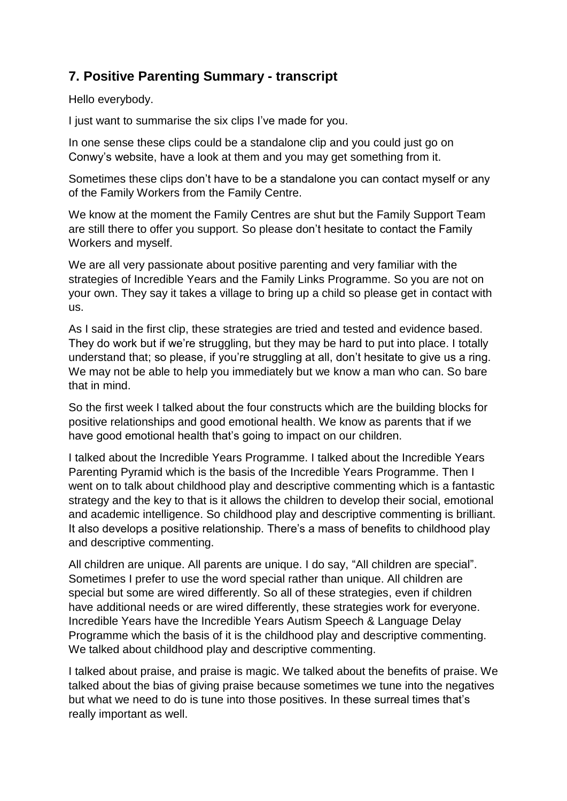## **7. Positive Parenting Summary - transcript**

Hello everybody.

I just want to summarise the six clips I've made for you.

In one sense these clips could be a standalone clip and you could just go on Conwy's website, have a look at them and you may get something from it.

Sometimes these clips don't have to be a standalone you can contact myself or any of the Family Workers from the Family Centre.

We know at the moment the Family Centres are shut but the Family Support Team are still there to offer you support. So please don't hesitate to contact the Family Workers and myself.

We are all very passionate about positive parenting and very familiar with the strategies of Incredible Years and the Family Links Programme. So you are not on your own. They say it takes a village to bring up a child so please get in contact with us.

As I said in the first clip, these strategies are tried and tested and evidence based. They do work but if we're struggling, but they may be hard to put into place. I totally understand that; so please, if you're struggling at all, don't hesitate to give us a ring. We may not be able to help you immediately but we know a man who can. So bare that in mind.

So the first week I talked about the four constructs which are the building blocks for positive relationships and good emotional health. We know as parents that if we have good emotional health that's going to impact on our children.

I talked about the Incredible Years Programme. I talked about the Incredible Years Parenting Pyramid which is the basis of the Incredible Years Programme. Then I went on to talk about childhood play and descriptive commenting which is a fantastic strategy and the key to that is it allows the children to develop their social, emotional and academic intelligence. So childhood play and descriptive commenting is brilliant. It also develops a positive relationship. There's a mass of benefits to childhood play and descriptive commenting.

All children are unique. All parents are unique. I do say, "All children are special". Sometimes I prefer to use the word special rather than unique. All children are special but some are wired differently. So all of these strategies, even if children have additional needs or are wired differently, these strategies work for everyone. Incredible Years have the Incredible Years Autism Speech & Language Delay Programme which the basis of it is the childhood play and descriptive commenting. We talked about childhood play and descriptive commenting.

I talked about praise, and praise is magic. We talked about the benefits of praise. We talked about the bias of giving praise because sometimes we tune into the negatives but what we need to do is tune into those positives. In these surreal times that's really important as well.